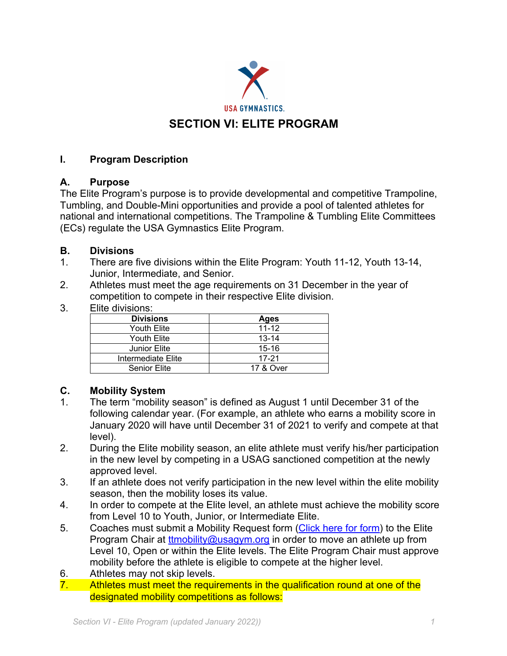

## **I. Program Description**

### **A. Purpose**

The Elite Program's purpose is to provide developmental and competitive Trampoline, Tumbling, and Double-Mini opportunities and provide a pool of talented athletes for national and international competitions. The Trampoline & Tumbling Elite Committees (ECs) regulate the USA Gymnastics Elite Program.

### **B. Divisions**

- 1. There are five divisions within the Elite Program: Youth 11-12, Youth 13-14, Junior, Intermediate, and Senior.
- 2. Athletes must meet the age requirements on 31 December in the year of competition to compete in their respective Elite division.
- 3. Elite divisions:

| <b>Divisions</b>    | Ages      |
|---------------------|-----------|
| Youth Elite         | $11 - 12$ |
| Youth Elite         | $13 - 14$ |
| Junior Elite        | $15 - 16$ |
| Intermediate Elite  | $17 - 21$ |
| <b>Senior Elite</b> | 17 & Over |

# **C. Mobility System**

- 1. The term "mobility season" is defined as August 1 until December 31 of the following calendar year. (For example, an athlete who earns a mobility score in January 2020 will have until December 31 of 2021 to verify and compete at that level).
- 2. During the Elite mobility season, an elite athlete must verify his/her participation in the new level by competing in a USAG sanctioned competition at the newly approved level.
- 3. If an athlete does not verify participation in the new level within the elite mobility season, then the mobility loses its value.
- 4. In order to compete at the Elite level, an athlete must achieve the mobility score from Level 10 to Youth, Junior, or Intermediate Elite.
- 5. Coaches must submit a Mobility Request form (Click here for form) to the Elite Program Chair at ttmobility@usagym.org in order to move an athlete up from Level 10, Open or within the Elite levels. The Elite Program Chair must approve mobility before the athlete is eligible to compete at the higher level.
- 6. Athletes may not skip levels.
- 7. Athletes must meet the requirements in the qualification round at one of the designated mobility competitions as follows: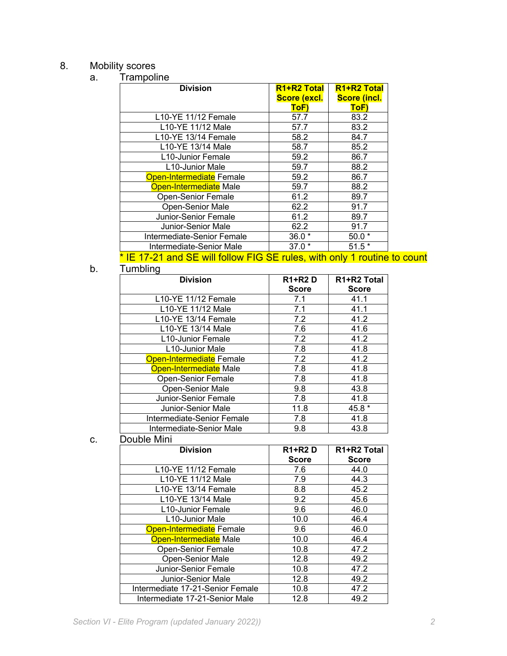#### 8. Mobility scores

| Trampoline<br><b>Division</b> | R <sub>1</sub> +R <sub>2</sub> Total | R1+R2 Total         |
|-------------------------------|--------------------------------------|---------------------|
|                               | Score (excl.                         | <b>Score (incl.</b> |
|                               | ToF)                                 | ToF)                |
| L10-YE 11/12 Female           | 57.7                                 | 83.2                |
| L10-YE 11/12 Male             | 57.7                                 | 83.2                |
| L10-YE 13/14 Female           | 58.2                                 | 84.7                |
| L10-YE 13/14 Male             | 58.7                                 | 85.2                |
| L10-Junior Female             | 59.2                                 | 86.7                |
| L10-Junior Male               | 59.7                                 | 88.2                |
| Open-Intermediate Female      | 59.2                                 | 86.7                |
| <b>Open-Intermediate Male</b> | 59.7                                 | 88.2                |
| <b>Open-Senior Female</b>     | 61.2                                 | 89.7                |
| <b>Open-Senior Male</b>       | 62.2                                 | 91.7                |
| Junior-Senior Female          | 61.2                                 | 89.7                |
| Junior-Senior Male            | 62.2                                 | 91.7                |
| Intermediate-Senior Female    | $36.0*$                              | $50.0*$             |
| Intermediate-Senior Male      | $37.0*$                              | $51.5*$             |

#### \* IE 17-21 and SE will follow FIG SE rules, with only 1 routine to count

# b. Tumbling

| <b>Division</b>                  | <b>R1+R2D</b> | R1+R2 Total  |
|----------------------------------|---------------|--------------|
|                                  | <b>Score</b>  | <b>Score</b> |
| L <sub>10</sub> -YE 11/12 Female | 7.1           | 41.1         |
| L10-YE 11/12 Male                | 7.1           | 41.1         |
| L10-YE 13/14 Female              | 7.2           | 41.2         |
| L10-YE 13/14 Male                | 7.6           | 41.6         |
| L10-Junior Female                | 7.2           | 41.2         |
| L10-Junior Male                  | 7.8           | 41.8         |
| Open-Intermediate Female         | 7.2           | 41.2         |
| Open-Intermediate Male           | 7.8           | 41.8         |
| <b>Open-Senior Female</b>        | 7.8           | 41.8         |
| Open-Senior Male                 | 9.8           | 43.8         |
| Junior-Senior Female             | 7.8           | 41.8         |
| Junior-Senior Male               | 11.8          | 45.8 *       |
| Intermediate-Senior Female       | 7.8           | 41.8         |
| Intermediate-Senior Male         | 9.8           | 43.8         |
|                                  |               |              |

#### c. Double Mini

| <b>Division</b>                  | <b>R1+R2D</b> | R <sub>1</sub> +R <sub>2</sub> Total |
|----------------------------------|---------------|--------------------------------------|
|                                  | <b>Score</b>  | <b>Score</b>                         |
| L10-YE 11/12 Female              | 7.6           | 44.0                                 |
| L10-YE 11/12 Male                | 7.9           | 44.3                                 |
| L10-YE 13/14 Female              | 8.8           | 45.2                                 |
| L10-YE 13/14 Male                | 9.2           | 45.6                                 |
| L10-Junior Female                | 9.6           | 46.0                                 |
| L <sub>10</sub> -Junior Male     | 10.0          | 46.4                                 |
| Open-Intermediate Female         | 9.6           | 46.0                                 |
| Open-Intermediate Male           | 10.0          | 46.4                                 |
| <b>Open-Senior Female</b>        | 10.8          | 47.2                                 |
| Open-Senior Male                 | 12.8          | 49.2                                 |
| Junior-Senior Female             | 10.8          | 47.2                                 |
| Junior-Senior Male               | 12.8          | 49.2                                 |
| Intermediate 17-21-Senior Female | 10.8          | 47.2                                 |
| Intermediate 17-21-Senior Male   | 12.8          | 49.2                                 |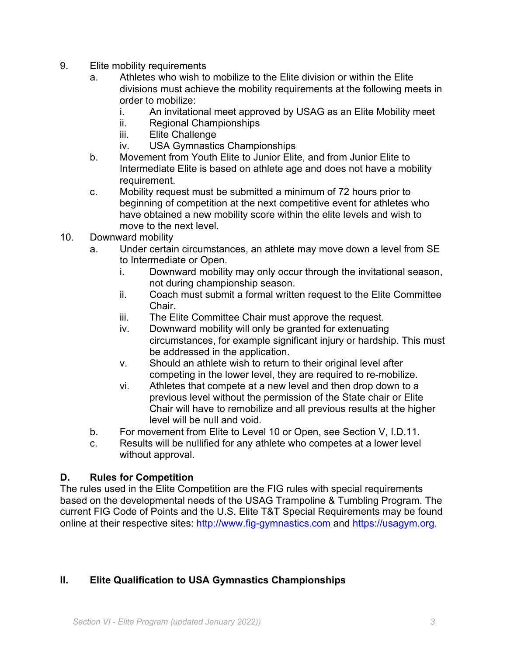- 9. Elite mobility requirements
	- a. Athletes who wish to mobilize to the Elite division or within the Elite divisions must achieve the mobility requirements at the following meets in order to mobilize:
		- i. An invitational meet approved by USAG as an Elite Mobility meet
		- ii. Regional Championships
		- iii. Elite Challenge
		- iv. USA Gymnastics Championships
	- b. Movement from Youth Elite to Junior Elite, and from Junior Elite to Intermediate Elite is based on athlete age and does not have a mobility requirement.
	- c. Mobility request must be submitted a minimum of 72 hours prior to beginning of competition at the next competitive event for athletes who have obtained a new mobility score within the elite levels and wish to move to the next level.
- 10. Downward mobility
	- a. Under certain circumstances, an athlete may move down a level from SE to Intermediate or Open.
		- i. Downward mobility may only occur through the invitational season, not during championship season.
		- ii. Coach must submit a formal written request to the Elite Committee Chair.
		- iii. The Elite Committee Chair must approve the request.
		- iv. Downward mobility will only be granted for extenuating circumstances, for example significant injury or hardship. This must be addressed in the application.
		- v. Should an athlete wish to return to their original level after competing in the lower level, they are required to re-mobilize.
		- vi. Athletes that compete at a new level and then drop down to a previous level without the permission of the State chair or Elite Chair will have to remobilize and all previous results at the higher level will be null and void.
	- b. For movement from Elite to Level 10 or Open, see Section V, I.D.11.
	- c. Results will be nullified for any athlete who competes at a lower level without approval.

### **D. Rules for Competition**

The rules used in the Elite Competition are the FIG rules with special requirements based on the developmental needs of the USAG Trampoline & Tumbling Program. The current FIG Code of Points and the U.S. Elite T&T Special Requirements may be found online at their respective sites: http://www.fig-gymnastics.com and https://usagym.org.

### **II. Elite Qualification to USA Gymnastics Championships**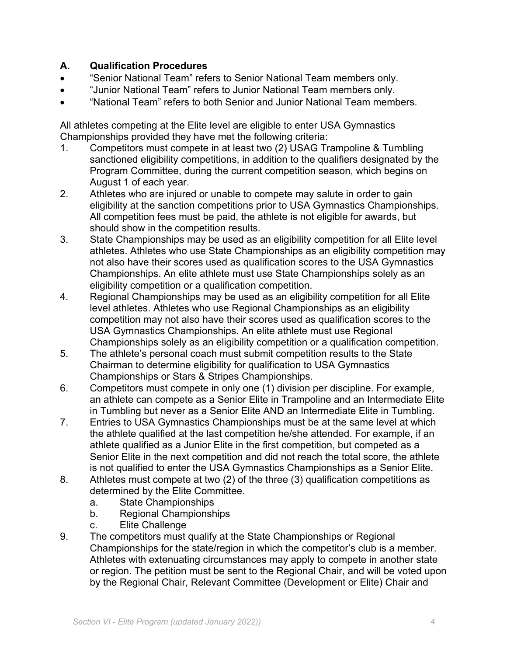## **A. Qualification Procedures**

- "Senior National Team" refers to Senior National Team members only.
- "Junior National Team" refers to Junior National Team members only.
- "National Team" refers to both Senior and Junior National Team members.

All athletes competing at the Elite level are eligible to enter USA Gymnastics Championships provided they have met the following criteria:

- 1. Competitors must compete in at least two (2) USAG Trampoline & Tumbling sanctioned eligibility competitions, in addition to the qualifiers designated by the Program Committee, during the current competition season, which begins on August 1 of each year.
- 2. Athletes who are injured or unable to compete may salute in order to gain eligibility at the sanction competitions prior to USA Gymnastics Championships. All competition fees must be paid, the athlete is not eligible for awards, but should show in the competition results.
- 3. State Championships may be used as an eligibility competition for all Elite level athletes. Athletes who use State Championships as an eligibility competition may not also have their scores used as qualification scores to the USA Gymnastics Championships. An elite athlete must use State Championships solely as an eligibility competition or a qualification competition.
- 4. Regional Championships may be used as an eligibility competition for all Elite level athletes. Athletes who use Regional Championships as an eligibility competition may not also have their scores used as qualification scores to the USA Gymnastics Championships. An elite athlete must use Regional Championships solely as an eligibility competition or a qualification competition.
- 5. The athlete's personal coach must submit competition results to the State Chairman to determine eligibility for qualification to USA Gymnastics Championships or Stars & Stripes Championships.
- 6. Competitors must compete in only one (1) division per discipline. For example, an athlete can compete as a Senior Elite in Trampoline and an Intermediate Elite in Tumbling but never as a Senior Elite AND an Intermediate Elite in Tumbling.
- 7. Entries to USA Gymnastics Championships must be at the same level at which the athlete qualified at the last competition he/she attended. For example, if an athlete qualified as a Junior Elite in the first competition, but competed as a Senior Elite in the next competition and did not reach the total score, the athlete is not qualified to enter the USA Gymnastics Championships as a Senior Elite.
- 8. Athletes must compete at two (2) of the three (3) qualification competitions as determined by the Elite Committee.
	- a. State Championships
	- b. Regional Championships
	- c. Elite Challenge
- 9. The competitors must qualify at the State Championships or Regional Championships for the state/region in which the competitor's club is a member. Athletes with extenuating circumstances may apply to compete in another state or region. The petition must be sent to the Regional Chair, and will be voted upon by the Regional Chair, Relevant Committee (Development or Elite) Chair and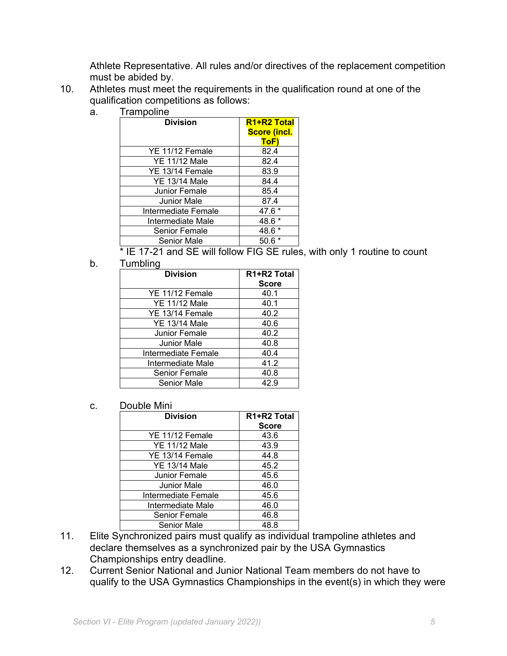Athlete Representative. All rules and/or directives of the replacement competition must be abided by.

- 10. Athletes must meet the requirements in the qualification round at one of the qualification competitions as follows:
	- a. Trampoline

| <b>Division</b>      | R <sub>1+R2</sub> Total<br><b>Score (incl.</b> |
|----------------------|------------------------------------------------|
|                      | <b>ToF</b>                                     |
| YE 11/12 Female      | 82.4                                           |
| <b>YE 11/12 Male</b> | 82.4                                           |
| YE 13/14 Female      | 83.9                                           |
| <b>YE 13/14 Male</b> | 84.4                                           |
| Junior Female        | 85.4                                           |
| <b>Junior Male</b>   | 87.4                                           |
| Intermediate Female  | 47.6 *                                         |
| Intermediate Male    | 48.6                                           |
| <b>Senior Female</b> | 48.6                                           |
| <b>Senior Male</b>   | 50.6                                           |

\* IE 17-21 and SE will follow FIG SE rules, with only 1 routine to count

b. Tumbling

| <b>Division</b>      | R1+R2 Total  |
|----------------------|--------------|
|                      | <b>Score</b> |
| YE 11/12 Female      | 40.1         |
| <b>YE 11/12 Male</b> | 40.1         |
| YE 13/14 Female      | 40.2         |
| <b>YE 13/14 Male</b> | 40.6         |
| Junior Female        | 40.2         |
| Junior Male          | 40.8         |
| Intermediate Female  | 40.4         |
| Intermediate Male    | 41.2         |
| <b>Senior Female</b> | 40.8         |
| <b>Senior Male</b>   | 42.9         |

c. Double Mini

| <b>Division</b>      | R1+R2 Total  |
|----------------------|--------------|
|                      | <b>Score</b> |
| YE 11/12 Female      | 43.6         |
| <b>YE 11/12 Male</b> | 43.9         |
| YE 13/14 Female      | 44.8         |
| <b>YE 13/14 Male</b> | 45.2         |
| Junior Female        | 45.6         |
| Junior Male          | 46.0         |
| Intermediate Female  | 45.6         |
| Intermediate Male    | 46.0         |
| <b>Senior Female</b> | 46.8         |
| Senior Male          | 48.8         |

- 11. Elite Synchronized pairs must qualify as individual trampoline athletes and declare themselves as a synchronized pair by the USA Gymnastics Championships entry deadline.
- 12. Current Senior National and Junior National Team members do not have to qualify to the USA Gymnastics Championships in the event(s) in which they were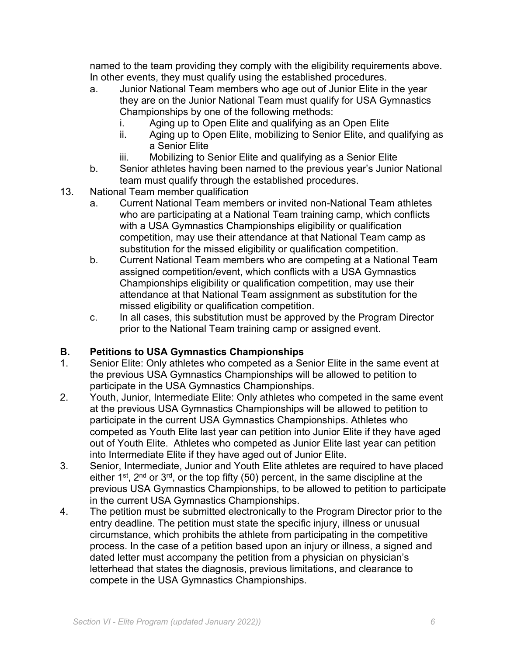named to the team providing they comply with the eligibility requirements above. In other events, they must qualify using the established procedures.

- a. Junior National Team members who age out of Junior Elite in the year they are on the Junior National Team must qualify for USA Gymnastics Championships by one of the following methods:
	- i. Aging up to Open Elite and qualifying as an Open Elite
	- ii. Aging up to Open Elite, mobilizing to Senior Elite, and qualifying as a Senior Elite
	- iii. Mobilizing to Senior Elite and qualifying as a Senior Elite
- b. Senior athletes having been named to the previous year's Junior National team must qualify through the established procedures.
- 13. National Team member qualification
	- a. Current National Team members or invited non-National Team athletes who are participating at a National Team training camp, which conflicts with a USA Gymnastics Championships eligibility or qualification competition, may use their attendance at that National Team camp as substitution for the missed eligibility or qualification competition.
	- b. Current National Team members who are competing at a National Team assigned competition/event, which conflicts with a USA Gymnastics Championships eligibility or qualification competition, may use their attendance at that National Team assignment as substitution for the missed eligibility or qualification competition.
	- c. In all cases, this substitution must be approved by the Program Director prior to the National Team training camp or assigned event.

### **B. Petitions to USA Gymnastics Championships**

- 1. Senior Elite: Only athletes who competed as a Senior Elite in the same event at the previous USA Gymnastics Championships will be allowed to petition to participate in the USA Gymnastics Championships.
- 2. Youth, Junior, Intermediate Elite: Only athletes who competed in the same event at the previous USA Gymnastics Championships will be allowed to petition to participate in the current USA Gymnastics Championships. Athletes who competed as Youth Elite last year can petition into Junior Elite if they have aged out of Youth Elite. Athletes who competed as Junior Elite last year can petition into Intermediate Elite if they have aged out of Junior Elite.
- 3. Senior, Intermediate, Junior and Youth Elite athletes are required to have placed either  $1^{st}$ ,  $2^{nd}$  or  $3^{rd}$ , or the top fifty (50) percent, in the same discipline at the previous USA Gymnastics Championships, to be allowed to petition to participate in the current USA Gymnastics Championships.
- 4. The petition must be submitted electronically to the Program Director prior to the entry deadline. The petition must state the specific injury, illness or unusual circumstance, which prohibits the athlete from participating in the competitive process. In the case of a petition based upon an injury or illness, a signed and dated letter must accompany the petition from a physician on physician's letterhead that states the diagnosis, previous limitations, and clearance to compete in the USA Gymnastics Championships.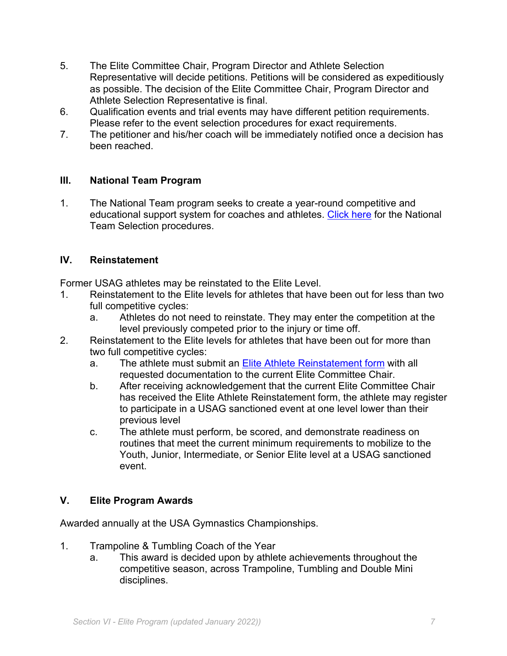- 5. The Elite Committee Chair, Program Director and Athlete Selection Representative will decide petitions. Petitions will be considered as expeditiously as possible. The decision of the Elite Committee Chair, Program Director and Athlete Selection Representative is final.
- 6. Qualification events and trial events may have different petition requirements. Please refer to the event selection procedures for exact requirements.
- 7. The petitioner and his/her coach will be immediately notified once a decision has been reached.

#### **III. National Team Program**

1. The National Team program seeks to create a year-round competitive and educational support system for coaches and athletes. Click here for the National Team Selection procedures.

#### **IV. Reinstatement**

Former USAG athletes may be reinstated to the Elite Level.

- 1. Reinstatement to the Elite levels for athletes that have been out for less than two full competitive cycles:
	- a. Athletes do not need to reinstate. They may enter the competition at the level previously competed prior to the injury or time off.
- 2. Reinstatement to the Elite levels for athletes that have been out for more than two full competitive cycles:
	- a. The athlete must submit an **Elite Athlete Reinstatement form** with all requested documentation to the current Elite Committee Chair.
	- b. After receiving acknowledgement that the current Elite Committee Chair has received the Elite Athlete Reinstatement form, the athlete may register to participate in a USAG sanctioned event at one level lower than their previous level
	- c. The athlete must perform, be scored, and demonstrate readiness on routines that meet the current minimum requirements to mobilize to the Youth, Junior, Intermediate, or Senior Elite level at a USAG sanctioned event.

### **V. Elite Program Awards**

Awarded annually at the USA Gymnastics Championships.

- 1. Trampoline & Tumbling Coach of the Year
	- a. This award is decided upon by athlete achievements throughout the competitive season, across Trampoline, Tumbling and Double Mini disciplines.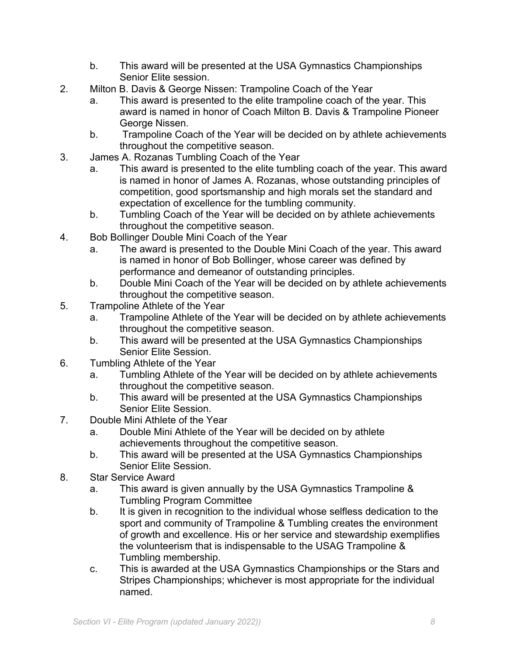- b. This award will be presented at the USA Gymnastics Championships Senior Elite session.
- 2. Milton B. Davis & George Nissen: Trampoline Coach of the Year
	- a. This award is presented to the elite trampoline coach of the year. This award is named in honor of Coach Milton B. Davis & Trampoline Pioneer George Nissen.
	- b. Trampoline Coach of the Year will be decided on by athlete achievements throughout the competitive season.
- 3. James A. Rozanas Tumbling Coach of the Year
	- a. This award is presented to the elite tumbling coach of the year. This award is named in honor of James A. Rozanas, whose outstanding principles of competition, good sportsmanship and high morals set the standard and expectation of excellence for the tumbling community.
	- b. Tumbling Coach of the Year will be decided on by athlete achievements throughout the competitive season.
- 4. Bob Bollinger Double Mini Coach of the Year
	- a. The award is presented to the Double Mini Coach of the year. This award is named in honor of Bob Bollinger, whose career was defined by performance and demeanor of outstanding principles.
	- b. Double Mini Coach of the Year will be decided on by athlete achievements throughout the competitive season.
- 5. Trampoline Athlete of the Year
	- a. Trampoline Athlete of the Year will be decided on by athlete achievements throughout the competitive season.
	- b. This award will be presented at the USA Gymnastics Championships Senior Elite Session.
- 6. Tumbling Athlete of the Year
	- a. Tumbling Athlete of the Year will be decided on by athlete achievements throughout the competitive season.
	- b. This award will be presented at the USA Gymnastics Championships Senior Elite Session.
- 7. Double Mini Athlete of the Year
	- a. Double Mini Athlete of the Year will be decided on by athlete achievements throughout the competitive season.
	- b. This award will be presented at the USA Gymnastics Championships Senior Elite Session.
- 8. Star Service Award
	- a. This award is given annually by the USA Gymnastics Trampoline & Tumbling Program Committee
	- b. It is given in recognition to the individual whose selfless dedication to the sport and community of Trampoline & Tumbling creates the environment of growth and excellence. His or her service and stewardship exemplifies the volunteerism that is indispensable to the USAG Trampoline & Tumbling membership.
	- c. This is awarded at the USA Gymnastics Championships or the Stars and Stripes Championships; whichever is most appropriate for the individual named.